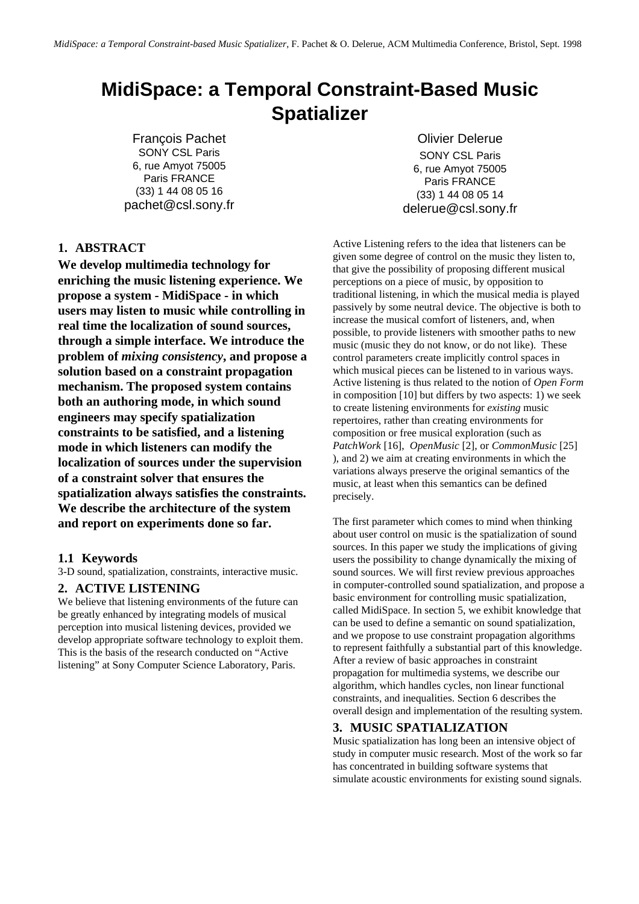# **MidiSpace: a Temporal Constraint-Based Music Spatializer**

François Pachet SONY CSL Paris 6, rue Amyot 75005 Paris FRANCE (33) 1 44 08 05 16 pachet@csl.sony.fr

Olivier Delerue SONY CSL Paris 6, rue Amyot 75005 Paris FRANCE (33) 1 44 08 05 14 delerue@csl.sony.fr

# **1. ABSTRACT**

**We develop multimedia technology for enriching the music listening experience. We propose a system - MidiSpace - in which users may listen to music while controlling in real time the localization of sound sources, through a simple interface. We introduce the problem of** *mixing consistency***, and propose a solution based on a constraint propagation mechanism. The proposed system contains both an authoring mode, in which sound engineers may specify spatialization constraints to be satisfied, and a listening mode in which listeners can modify the localization of sources under the supervision of a constraint solver that ensures the spatialization always satisfies the constraints. We describe the architecture of the system and report on experiments done so far.**

## **1.1 Keywords**

3-D sound, spatialization, constraints, interactive music.

## **2. ACTIVE LISTENING**

We believe that listening environments of the future can be greatly enhanced by integrating models of musical perception into musical listening devices, provided we develop appropriate software technology to exploit them. This is the basis of the research conducted on "Active listening" at Sony Computer Science Laboratory, Paris.

Active Listening refers to the idea that listeners can be given some degree of control on the music they listen to, that give the possibility of proposing different musical perceptions on a piece of music, by opposition to traditional listening, in which the musical media is played passively by some neutral device. The objective is both to increase the musical comfort of listeners, and, when possible, to provide listeners with smoother paths to new music (music they do not know, or do not like). These control parameters create implicitly control spaces in which musical pieces can be listened to in various ways. Active listening is thus related to the notion of *Open Form* in composition [10] but differs by two aspects: 1) we seek to create listening environments for *existing* music repertoires, rather than creating environments for composition or free musical exploration (such as *PatchWork* [16], *OpenMusic* [2], or *CommonMusic* [25] ), and 2) we aim at creating environments in which the variations always preserve the original semantics of the music, at least when this semantics can be defined precisely.

The first parameter which comes to mind when thinking about user control on music is the spatialization of sound sources. In this paper we study the implications of giving users the possibility to change dynamically the mixing of sound sources. We will first review previous approaches in computer-controlled sound spatialization, and propose a basic environment for controlling music spatialization, called MidiSpace. In section 5, we exhibit knowledge that can be used to define a semantic on sound spatialization, and we propose to use constraint propagation algorithms to represent faithfully a substantial part of this knowledge. After a review of basic approaches in constraint propagation for multimedia systems, we describe our algorithm, which handles cycles, non linear functional constraints, and inequalities. Section 6 describes the overall design and implementation of the resulting system.

# **3. MUSIC SPATIALIZATION**

Music spatialization has long been an intensive object of study in computer music research. Most of the work so far has concentrated in building software systems that simulate acoustic environments for existing sound signals.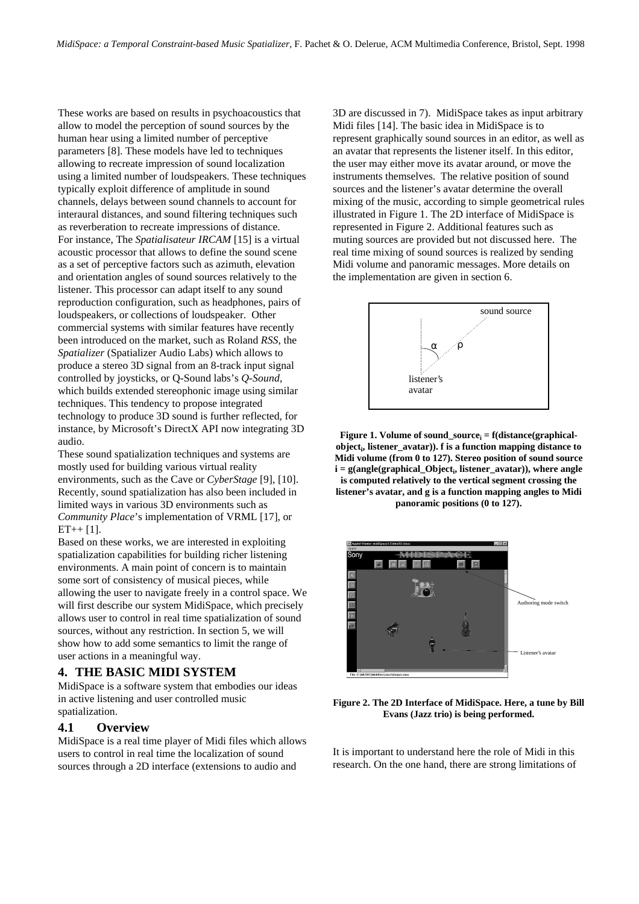These works are based on results in psychoacoustics that allow to model the perception of sound sources by the human hear using a limited number of perceptive parameters [8]. These models have led to techniques allowing to recreate impression of sound localization using a limited number of loudspeakers. These techniques typically exploit difference of amplitude in sound channels, delays between sound channels to account for interaural distances, and sound filtering techniques such as reverberation to recreate impressions of distance. For instance, The *Spatialisateur IRCAM* [15] is a virtual acoustic processor that allows to define the sound scene as a set of perceptive factors such as azimuth, elevation and orientation angles of sound sources relatively to the listener. This processor can adapt itself to any sound reproduction configuration, such as headphones, pairs of loudspeakers, or collections of loudspeaker. Other commercial systems with similar features have recently been introduced on the market, such as Roland *RSS*, the *Spatializer* (Spatializer Audio Labs) which allows to produce a stereo 3D signal from an 8-track input signal controlled by joysticks, or Q-Sound labs's *Q-Sound*, which builds extended stereophonic image using similar techniques. This tendency to propose integrated technology to produce 3D sound is further reflected, for instance, by Microsoft's DirectX API now integrating 3D audio.

These sound spatialization techniques and systems are mostly used for building various virtual reality environments, such as the Cave or *CyberStage* [9], [10]. Recently, sound spatialization has also been included in limited ways in various 3D environments such as *Community Place*'s implementation of VRML [17], or  $ET++ [1].$ 

Based on these works, we are interested in exploiting spatialization capabilities for building richer listening environments. A main point of concern is to maintain some sort of consistency of musical pieces, while allowing the user to navigate freely in a control space. We will first describe our system MidiSpace, which precisely allows user to control in real time spatialization of sound sources, without any restriction. In section 5, we will show how to add some semantics to limit the range of user actions in a meaningful way.

## **4. THE BASIC MIDI SYSTEM**

MidiSpace is a software system that embodies our ideas in active listening and user controlled music spatialization.

# **4.1 Overview**

MidiSpace is a real time player of Midi files which allows users to control in real time the localization of sound sources through a 2D interface (extensions to audio and

3D are discussed in 7). MidiSpace takes as input arbitrary Midi files [14]. The basic idea in MidiSpace is to represent graphically sound sources in an editor, as well as an avatar that represents the listener itself. In this editor, the user may either move its avatar around, or move the instruments themselves. The relative position of sound sources and the listener's avatar determine the overall mixing of the music, according to simple geometrical rules illustrated in Figure 1. The 2D interface of MidiSpace is represented in Figure 2. Additional features such as muting sources are provided but not discussed here. The real time mixing of sound sources is realized by sending Midi volume and panoramic messages. More details on the implementation are given in section 6.



**Figure 1. Volume of sound\_source<sup>i</sup> = f(distance(graphicalobject<sup>i</sup> , listener\_avatar)). f is a function mapping distance to Midi volume (from 0 to 127). Stereo position of sound source i = g(angle(graphical\_Object<sup>i</sup> , listener\_avatar)), where angle is computed relatively to the vertical segment crossing the listener's avatar, and g is a function mapping angles to Midi panoramic positions (0 to 127).**



**Figure 2. The 2D Interface of MidiSpace. Here, a tune by Bill Evans (Jazz trio) is being performed.**

It is important to understand here the role of Midi in this research. On the one hand, there are strong limitations of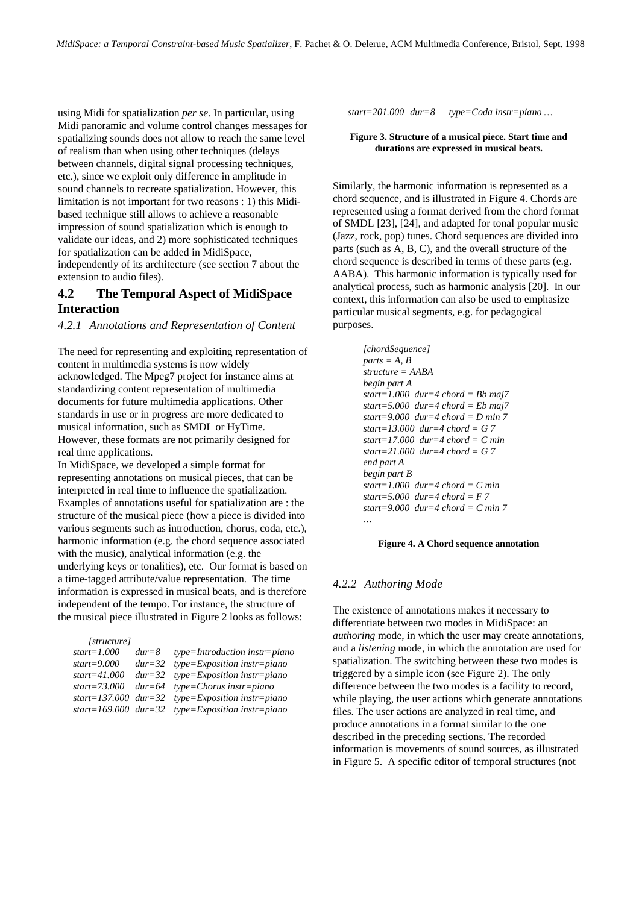using Midi for spatialization *per se*. In particular, using Midi panoramic and volume control changes messages for spatializing sounds does not allow to reach the same level of realism than when using other techniques (delays between channels, digital signal processing techniques, etc.), since we exploit only difference in amplitude in sound channels to recreate spatialization. However, this limitation is not important for two reasons : 1) this Midibased technique still allows to achieve a reasonable impression of sound spatialization which is enough to validate our ideas, and 2) more sophisticated techniques for spatialization can be added in MidiSpace, independently of its architecture (see section 7 about the extension to audio files).

# **4.2 The Temporal Aspect of MidiSpace Interaction**

## *4.2.1 Annotations and Representation of Content*

The need for representing and exploiting representation of content in multimedia systems is now widely acknowledged. The Mpeg7 project for instance aims at standardizing content representation of multimedia documents for future multimedia applications. Other standards in use or in progress are more dedicated to musical information, such as SMDL or HyTime. However, these formats are not primarily designed for real time applications.

In MidiSpace, we developed a simple format for representing annotations on musical pieces, that can be interpreted in real time to influence the spatialization. Examples of annotations useful for spatialization are : the structure of the musical piece (how a piece is divided into various segments such as introduction, chorus, coda, etc.), harmonic information (e.g. the chord sequence associated with the music), analytical information (e.g. the underlying keys or tonalities), etc. Our format is based on a time-tagged attribute/value representation. The time information is expressed in musical beats, and is therefore independent of the tempo. For instance, the structure of the musical piece illustrated in Figure 2 looks as follows:

| [structure]      |            |                                                    |
|------------------|------------|----------------------------------------------------|
| $start=1.000$    | $dur = 8$  | $type=Introduction\ instr=piano$                   |
| $start = 9.000$  | $dur = 32$ | $type = Exposition$ instr=piano                    |
| $start = 41,000$ | $dur = 32$ | $type = Exposition$ instr=piano                    |
| $start = 73.000$ |            | $dur = 64$ type=Chorus instr=piano                 |
|                  |            | start=137.000 $dur=32$ type=Exposition instr=piano |
|                  |            | start=169.000 $dur=32$ type=Exposition instr=piano |

*start=201.000 dur=8 type=Coda instr=piano …*

#### **Figure 3. Structure of a musical piece. Start time and durations are expressed in musical beats.**

Similarly, the harmonic information is represented as a chord sequence, and is illustrated in Figure 4. Chords are represented using a format derived from the chord format of SMDL [23], [24], and adapted for tonal popular music (Jazz, rock, pop) tunes. Chord sequences are divided into parts (such as A, B, C), and the overall structure of the chord sequence is described in terms of these parts (e.g. AABA). This harmonic information is typically used for analytical process, such as harmonic analysis [20]. In our context, this information can also be used to emphasize particular musical segments, e.g. for pedagogical purposes.

```
[chordSequence]
parts = A, B
structure = AABA
begin part A
start=1.000 dur=4 chord = Bb maj7
start=5.000 dur=4 chord = Eb maj7
start=9.000 dur=4 chord = D min 7
start=13.000 dur=4 chord = G 7
start=17.000 dur=4 chord = C min
start=21.000 dur=4 chord = G 7
end part A
begin part B
start=1.000 dur=4 chord = C min
start=5.000 dur=4 chord = F 7
start=9.000 dur=4 chord = C min 7
…
```
#### **Figure 4. A Chord sequence annotation**

## *4.2.2 Authoring Mode*

The existence of annotations makes it necessary to differentiate between two modes in MidiSpace: an *authoring* mode, in which the user may create annotations, and a *listening* mode, in which the annotation are used for spatialization. The switching between these two modes is triggered by a simple icon (see Figure 2). The only difference between the two modes is a facility to record, while playing, the user actions which generate annotations files. The user actions are analyzed in real time, and produce annotations in a format similar to the one described in the preceding sections. The recorded information is movements of sound sources, as illustrated in Figure 5. A specific editor of temporal structures (not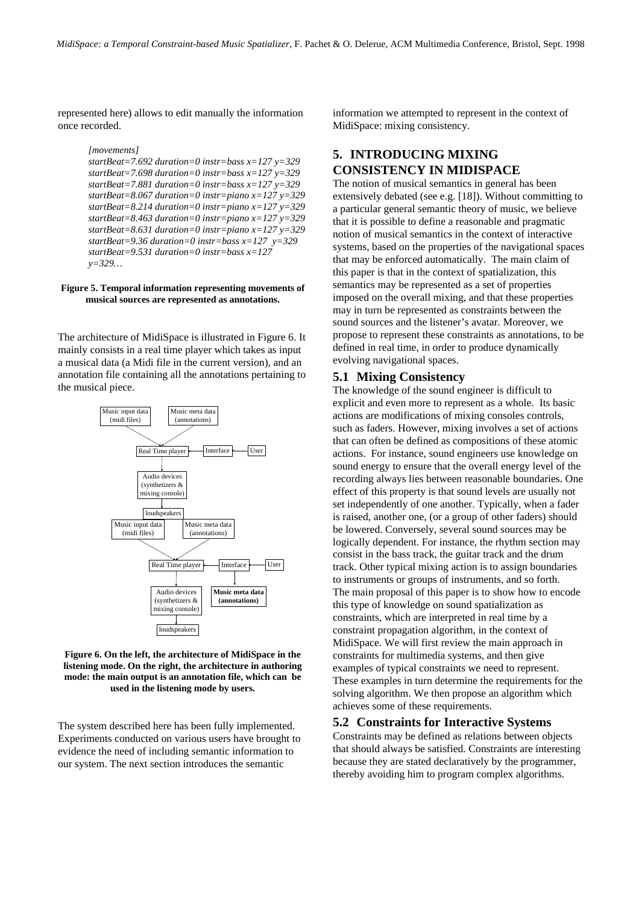represented here) allows to edit manually the information once recorded.

```
[movements]
startBeat=7.692 duration=0 instr=bass x=127 y=329
startBeat=7.698 duration=0 instr=bass x=127 y=329
startBeat=7.881 duration=0 instr=bass x=127 y=329
startBeat=8.067 duration=0 instr=piano x=127 y=329
startBeat=8.214 duration=0 instr=piano x=127 y=329
startBeat=8.463 duration=0 instr=piano x=127 y=329
startBeat=8.631 duration=0 instr=piano x=127 y=329
startBeat=9.36 duration=0 instr=bass x=127 y=329
startBeat=9.531 duration=0 instr=bass x=127
y=329…
```
#### **Figure 5. Temporal information representing movements of musical sources are represented as annotations.**

The architecture of MidiSpace is illustrated in Figure 6. It mainly consists in a real time player which takes as input a musical data (a Midi file in the current version), and an annotation file containing all the annotations pertaining to the musical piece.



**Figure 6. On the left, the architecture of MidiSpace in the listening mode. On the right, the architecture in authoring mode: the main output is an annotation file, which can be used in the listening mode by users.**

The system described here has been fully implemented. Experiments conducted on various users have brought to evidence the need of including semantic information to our system. The next section introduces the semantic

information we attempted to represent in the context of MidiSpace: mixing consistency.

# **5. INTRODUCING MIXING CONSISTENCY IN MIDISPACE**

The notion of musical semantics in general has been extensively debated (see e.g. [18]). Without committing to a particular general semantic theory of music, we believe that it is possible to define a reasonable and pragmatic notion of musical semantics in the context of interactive systems, based on the properties of the navigational spaces that may be enforced automatically. The main claim of this paper is that in the context of spatialization, this semantics may be represented as a set of properties imposed on the overall mixing, and that these properties may in turn be represented as constraints between the sound sources and the listener's avatar. Moreover, we propose to represent these constraints as annotations, to be defined in real time, in order to produce dynamically evolving navigational spaces.

# **5.1 Mixing Consistency**

The knowledge of the sound engineer is difficult to explicit and even more to represent as a whole. Its basic actions are modifications of mixing consoles controls, such as faders. However, mixing involves a set of actions that can often be defined as compositions of these atomic actions. For instance, sound engineers use knowledge on sound energy to ensure that the overall energy level of the recording always lies between reasonable boundaries. One effect of this property is that sound levels are usually not set independently of one another. Typically, when a fader is raised, another one, (or a group of other faders) should be lowered. Conversely, several sound sources may be logically dependent. For instance, the rhythm section may consist in the bass track, the guitar track and the drum track. Other typical mixing action is to assign boundaries to instruments or groups of instruments, and so forth. The main proposal of this paper is to show how to encode this type of knowledge on sound spatialization as constraints, which are interpreted in real time by a constraint propagation algorithm, in the context of MidiSpace. We will first review the main approach in constraints for multimedia systems, and then give examples of typical constraints we need to represent. These examples in turn determine the requirements for the solving algorithm. We then propose an algorithm which achieves some of these requirements.

## **5.2 Constraints for Interactive Systems**

Constraints may be defined as relations between objects that should always be satisfied. Constraints are interesting because they are stated declaratively by the programmer, thereby avoiding him to program complex algorithms.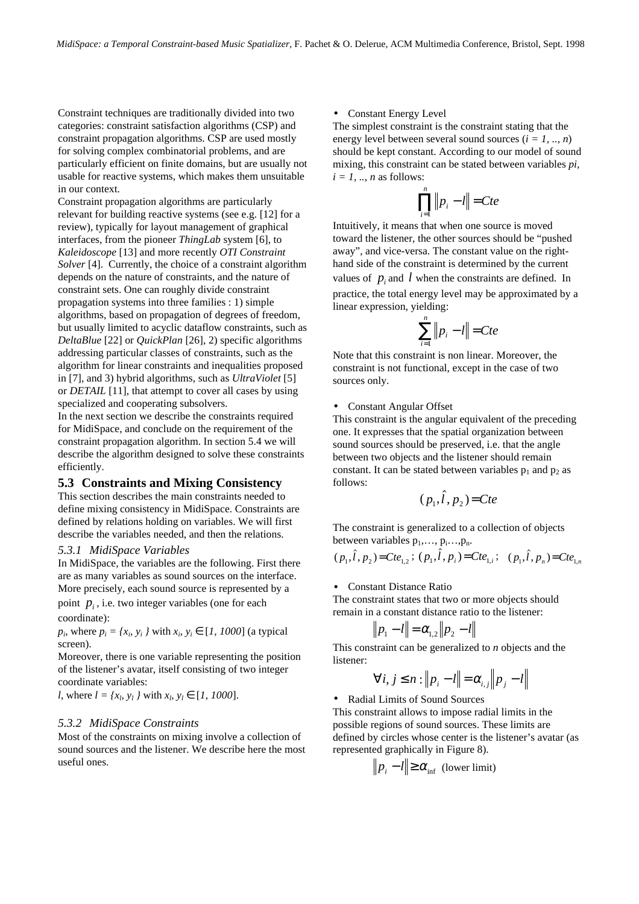Constraint techniques are traditionally divided into two categories: constraint satisfaction algorithms (CSP) and constraint propagation algorithms. CSP are used mostly for solving complex combinatorial problems, and are particularly efficient on finite domains, but are usually not usable for reactive systems, which makes them unsuitable in our context.

Constraint propagation algorithms are particularly relevant for building reactive systems (see e.g. [12] for a review), typically for layout management of graphical interfaces, from the pioneer *ThingLab* system [6], to *Kaleidoscope* [13] and more recently *OTI Constraint Solver* [4]. Currently, the choice of a constraint algorithm depends on the nature of constraints, and the nature of constraint sets. One can roughly divide constraint propagation systems into three families : 1) simple algorithms, based on propagation of degrees of freedom, but usually limited to acyclic dataflow constraints, such as *DeltaBlue* [22] or *QuickPlan* [26], 2) specific algorithms addressing particular classes of constraints, such as the algorithm for linear constraints and inequalities proposed in [7], and 3) hybrid algorithms, such as *UltraViolet* [5] or *DETAIL* [11], that attempt to cover all cases by using specialized and cooperating subsolvers.

In the next section we describe the constraints required for MidiSpace, and conclude on the requirement of the constraint propagation algorithm. In section 5.4 we will describe the algorithm designed to solve these constraints efficiently.

## **5.3 Constraints and Mixing Consistency**

This section describes the main constraints needed to define mixing consistency in MidiSpace. Constraints are defined by relations holding on variables. We will first describe the variables needed, and then the relations.

## *5.3.1 MidiSpace Variables*

In MidiSpace, the variables are the following. First there are as many variables as sound sources on the interface. More precisely, each sound source is represented by a

point  $p_i$ , i.e. two integer variables (one for each coordinate):

 $p_i$ , where  $p_i = \{x_i, y_i\}$  with  $x_i, y_i \in [1, 1000]$  (a typical screen).

Moreover, there is one variable representing the position of the listener's avatar, itself consisting of two integer coordinate variables:

*l*, where  $l = \{x_l, y_l\}$  with  $x_l, y_l \in [1, 1000]$ .

## *5.3.2 MidiSpace Constraints*

Most of the constraints on mixing involve a collection of sound sources and the listener. We describe here the most useful ones.

#### • Constant Energy Level

The simplest constraint is the constraint stating that the energy level between several sound sources (*i = 1, .., n*) should be kept constant. According to our model of sound mixing, this constraint can be stated between variables *pi,*  $i = 1, \ldots, n$  as follows:

$$
\prod_{i=1}^n \|p_i - l\| = Cte
$$

Intuitively, it means that when one source is moved toward the listener, the other sources should be "pushed away", and vice-versa. The constant value on the righthand side of the constraint is determined by the current values of  $p_i$  and  $l$  when the constraints are defined. In practice, the total energy level may be approximated by a linear expression, yielding:

$$
\sum_{i=1}^{n} \|p_i - l\| = Cte
$$

Note that this constraint is non linear. Moreover, the constraint is not functional, except in the case of two sources only.

#### • Constant Angular Offset

This constraint is the angular equivalent of the preceding one. It expresses that the spatial organization between sound sources should be preserved, i.e. that the angle between two objects and the listener should remain constant. It can be stated between variables  $p_1$  and  $p_2$  as follows:

$$
(p_1, \hat{l}, p_2) = Cte
$$

The constraint is generalized to a collection of objects between variables  $p_1, \ldots, p_i, \ldots, p_n$ .

$$
(p_1, \hat{l}, p_2) = Cte_{1,2}; (p_1, \hat{l}, p_i) = Cte_{1,i}; (p_1, \hat{l}, p_n) = Cte_{1,n}
$$

#### • Constant Distance Ratio

The constraint states that two or more objects should remain in a constant distance ratio to the listener:

$$
||p_1 - l|| = \alpha_{1,2} ||p_2 - l||
$$

This constraint can be generalized to *n* objects and the listener:

$$
\forall i, j \leq n : \|p_i - l\| = \alpha_{i,j} \|p_j - l\|
$$

• Radial Limits of Sound Sources

This constraint allows to impose radial limits in the possible regions of sound sources. These limits are defined by circles whose center is the listener's avatar (as represented graphically in Figure 8).

$$
|p_i - l| \ge \alpha_{\inf} \text{ (lower limit)}
$$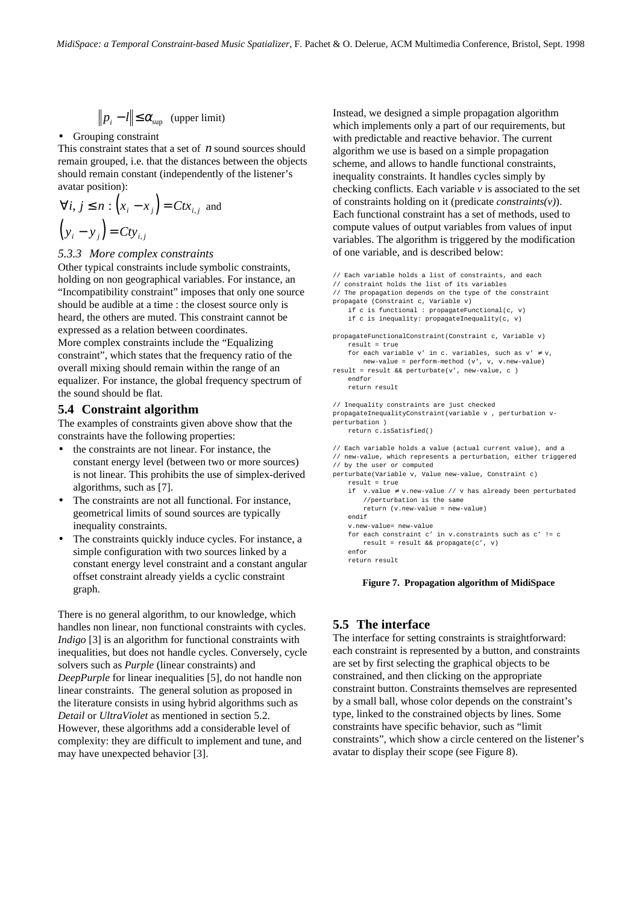$$
\|p_i - l\| \le \alpha_{\sup} \quad \text{(upper limit)}
$$

#### • Grouping constraint

This constraint states that a set of *n* sound sources should remain grouped, i.e. that the distances between the objects should remain constant (independently of the listener's avatar position):

$$
\forall i, j \le n : \left(x_i - x_j\right) = Ctx_{i,j} \text{ and}
$$

$$
\left(y_i - y_j\right) = Cty_{i,j}
$$

## *5.3.3 More complex constraints*

Other typical constraints include symbolic constraints, holding on non geographical variables. For instance, an "Incompatibility constraint" imposes that only one source should be audible at a time : the closest source only is heard, the others are muted. This constraint cannot be expressed as a relation between coordinates. More complex constraints include the "Equalizing constraint", which states that the frequency ratio of the overall mixing should remain within the range of an equalizer. For instance, the global frequency spectrum of the sound should be flat.

## **5.4 Constraint algorithm**

The examples of constraints given above show that the constraints have the following properties:

- the constraints are not linear. For instance, the constant energy level (between two or more sources) is not linear. This prohibits the use of simplex-derived algorithms, such as [7].
- The constraints are not all functional. For instance, geometrical limits of sound sources are typically inequality constraints.
- The constraints quickly induce cycles. For instance, a simple configuration with two sources linked by a constant energy level constraint and a constant angular offset constraint already yields a cyclic constraint graph.

There is no general algorithm, to our knowledge, which handles non linear, non functional constraints with cycles. *Indigo* [3] is an algorithm for functional constraints with inequalities, but does not handle cycles. Conversely, cycle solvers such as *Purple* (linear constraints) and *DeepPurple* for linear inequalities [5], do not handle non linear constraints. The general solution as proposed in the literature consists in using hybrid algorithms such as *Detail* or *UltraViolet* as mentioned in section 5.2. However, these algorithms add a considerable level of complexity: they are difficult to implement and tune, and may have unexpected behavior [3].

Instead, we designed a simple propagation algorithm which implements only a part of our requirements, but with predictable and reactive behavior. The current algorithm we use is based on a simple propagation scheme, and allows to handle functional constraints, inequality constraints. It handles cycles simply by checking conflicts. Each variable  $\nu$  is associated to the set of constraints holding on it (predicate *constraints(v)*). Each functional constraint has a set of methods, used to compute values of output variables from values of input variables. The algorithm is triggered by the modification of one variable, and is described below:

```
// Each variable holds a list of constraints, and each
// constraint holds the list of its variables
// The propagation depends on the type of the constraint
propagate (Constraint c, Variable v)
    if c is functional : propagateFunctional(c, v)
    if c is inequality: propagateInequality(c, v)
propagateFunctionalConstraint(Constraint c, Variable v)
    result = true
   for each variable v' in c. variables, such as v' \neq v,
       new-value = perform-method (v', v, v.new-value)
result = result && perturbate(v', new-value, c )
   endfor
   return result
// Inequality constraints are just checked
propagateInequalityConstraint(variable v , perturbation v-
perturbation )
   return c.isSatisfied()
// Each variable holds a value (actual current value), and a
// new-value, which represents a perturbation, either triggered
// by the user or computed
perturbate(Variable v, Value new-value, Constraint c)
   result = true
    if v.value ≠ v.new-value // v has already been perturbated
       //perturbation is the same
       return (v.new-value = new-value)
   endif
   v.new-value= new-value
    for each constraint c' in v.constraints such as c' != c
       result = result && propagate(c', v)
    enfor
```
return result

#### **Figure 7. Propagation algorithm of MidiSpace**

# **5.5 The interface**

The interface for setting constraints is straightforward: each constraint is represented by a button, and constraints are set by first selecting the graphical objects to be constrained, and then clicking on the appropriate constraint button. Constraints themselves are represented by a small ball, whose color depends on the constraint's type, linked to the constrained objects by lines. Some constraints have specific behavior, such as "limit constraints", which show a circle centered on the listener's avatar to display their scope (see Figure 8).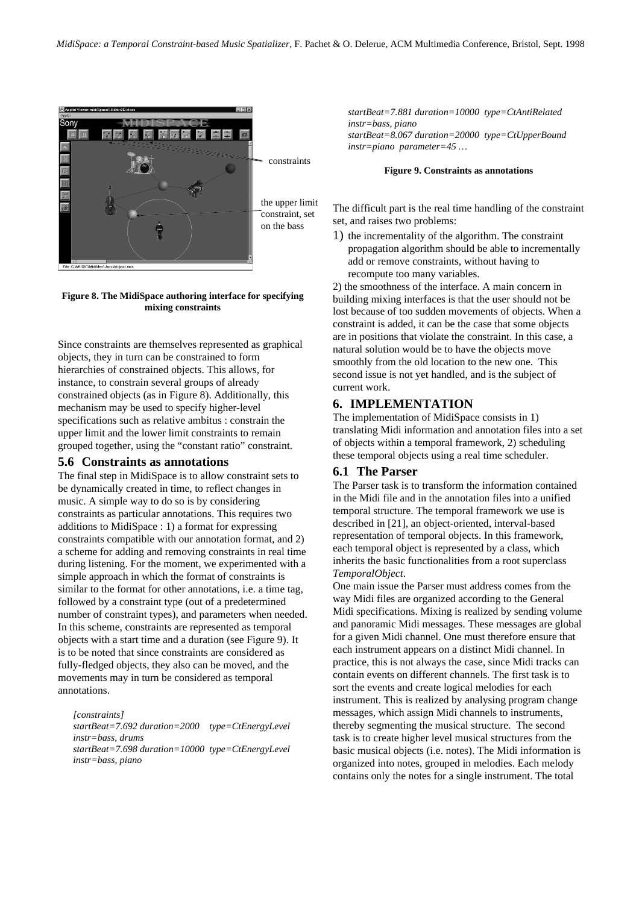

**Figure 8. The MidiSpace authoring interface for specifying mixing constraints**

Since constraints are themselves represented as graphical objects, they in turn can be constrained to form hierarchies of constrained objects. This allows, for instance, to constrain several groups of already constrained objects (as in Figure 8). Additionally, this mechanism may be used to specify higher-level specifications such as relative ambitus : constrain the upper limit and the lower limit constraints to remain grouped together, using the "constant ratio" constraint.

## **5.6 Constraints as annotations**

The final step in MidiSpace is to allow constraint sets to be dynamically created in time, to reflect changes in music. A simple way to do so is by considering constraints as particular annotations. This requires two additions to MidiSpace : 1) a format for expressing constraints compatible with our annotation format, and 2) a scheme for adding and removing constraints in real time during listening. For the moment, we experimented with a simple approach in which the format of constraints is similar to the format for other annotations, i.e. a time tag, followed by a constraint type (out of a predetermined number of constraint types), and parameters when needed. In this scheme, constraints are represented as temporal objects with a start time and a duration (see Figure 9). It is to be noted that since constraints are considered as fully-fledged objects, they also can be moved, and the movements may in turn be considered as temporal annotations.

*[constraints]*

*startBeat=7.692 duration=2000 type=CtEnergyLevel instr=bass, drums startBeat=7.698 duration=10000 type=CtEnergyLevel instr=bass, piano*

*startBeat=7.881 duration=10000 type=CtAntiRelated instr=bass, piano startBeat=8.067 duration=20000 type=CtUpperBound instr=piano parameter=45 …*

#### **Figure 9. Constraints as annotations**

The difficult part is the real time handling of the constraint set, and raises two problems:

1) the incrementality of the algorithm. The constraint propagation algorithm should be able to incrementally add or remove constraints, without having to recompute too many variables.

2) the smoothness of the interface. A main concern in building mixing interfaces is that the user should not be lost because of too sudden movements of objects. When a constraint is added, it can be the case that some objects are in positions that violate the constraint. In this case, a natural solution would be to have the objects move smoothly from the old location to the new one. This second issue is not yet handled, and is the subject of current work.

# **6. IMPLEMENTATION**

The implementation of MidiSpace consists in 1) translating Midi information and annotation files into a set of objects within a temporal framework, 2) scheduling these temporal objects using a real time scheduler.

## **6.1 The Parser**

The Parser task is to transform the information contained in the Midi file and in the annotation files into a unified temporal structure. The temporal framework we use is described in [21], an object-oriented, interval-based representation of temporal objects. In this framework, each temporal object is represented by a class, which inherits the basic functionalities from a root superclass *TemporalObject*.

One main issue the Parser must address comes from the way Midi files are organized according to the General Midi specifications. Mixing is realized by sending volume and panoramic Midi messages. These messages are global for a given Midi channel. One must therefore ensure that each instrument appears on a distinct Midi channel. In practice, this is not always the case, since Midi tracks can contain events on different channels. The first task is to sort the events and create logical melodies for each instrument. This is realized by analysing program change messages, which assign Midi channels to instruments, thereby segmenting the musical structure. The second task is to create higher level musical structures from the basic musical objects (i.e. notes). The Midi information is organized into notes, grouped in melodies. Each melody contains only the notes for a single instrument. The total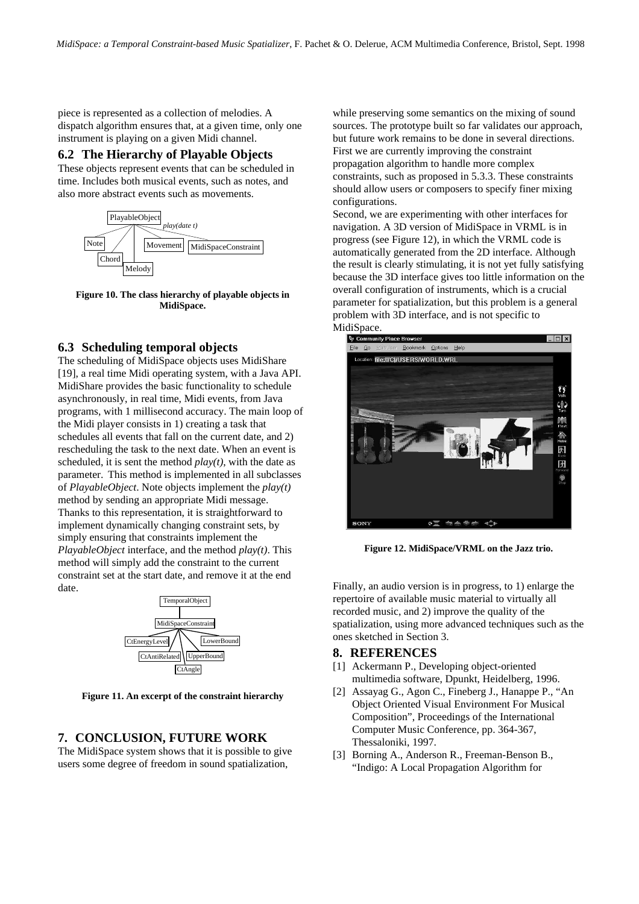piece is represented as a collection of melodies. A dispatch algorithm ensures that, at a given time, only one instrument is playing on a given Midi channel.

## **6.2 The Hierarchy of Playable Objects**

These objects represent events that can be scheduled in time. Includes both musical events, such as notes, and also more abstract events such as movements.



**Figure 10. The class hierarchy of playable objects in MidiSpace.**

# **6.3 Scheduling temporal objects**

The scheduling of MidiSpace objects uses MidiShare [19], a real time Midi operating system, with a Java API. MidiShare provides the basic functionality to schedule asynchronously, in real time, Midi events, from Java programs, with 1 millisecond accuracy. The main loop of the Midi player consists in 1) creating a task that schedules all events that fall on the current date, and 2) rescheduling the task to the next date. When an event is scheduled, it is sent the method *play(t)*, with the date as parameter. This method is implemented in all subclasses of *PlayableObject*. Note objects implement the *play(t)* method by sending an appropriate Midi message. Thanks to this representation, it is straightforward to implement dynamically changing constraint sets, by simply ensuring that constraints implement the *PlayableObject* interface, and the method *play(t)*. This method will simply add the constraint to the current constraint set at the start date, and remove it at the end date.



**Figure 11. An excerpt of the constraint hierarchy**

# **7. CONCLUSION, FUTURE WORK**

The MidiSpace system shows that it is possible to give users some degree of freedom in sound spatialization,

while preserving some semantics on the mixing of sound sources. The prototype built so far validates our approach, but future work remains to be done in several directions. First we are currently improving the constraint propagation algorithm to handle more complex constraints, such as proposed in 5.3.3. These constraints should allow users or composers to specify finer mixing configurations.

Second, we are experimenting with other interfaces for navigation. A 3D version of MidiSpace in VRML is in progress (see Figure 12), in which the VRML code is automatically generated from the 2D interface. Although the result is clearly stimulating, it is not yet fully satisfying because the 3D interface gives too little information on the overall configuration of instruments, which is a crucial parameter for spatialization, but this problem is a general problem with 3D interface, and is not specific to MidiSpace.



**Figure 12. MidiSpace/VRML on the Jazz trio.**

Finally, an audio version is in progress, to 1) enlarge the repertoire of available music material to virtually all recorded music, and 2) improve the quality of the spatialization, using more advanced techniques such as the ones sketched in Section 3.

## **8. REFERENCES**

- [1] Ackermann P., Developing object-oriented multimedia software, Dpunkt, Heidelberg, 1996.
- [2] Assayag G., Agon C., Fineberg J., Hanappe P., "An Object Oriented Visual Environment For Musical Composition", Proceedings of the International Computer Music Conference, pp. 364-367, Thessaloniki, 1997.
- [3] Borning A., Anderson R., Freeman-Benson B., "Indigo: A Local Propagation Algorithm for